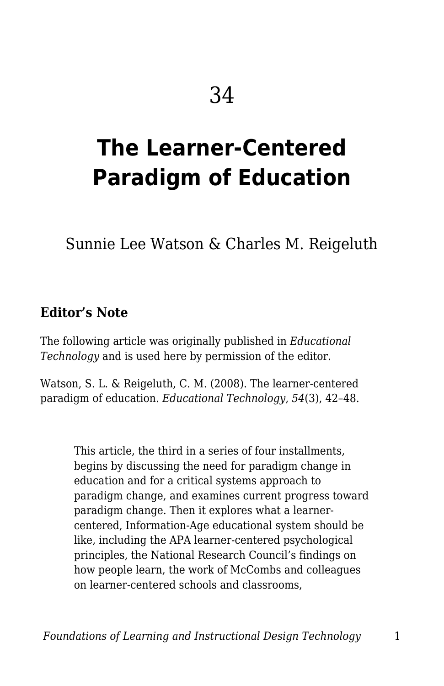# **The Learner-Centered Paradigm of Education**

Sunnie Lee Watson & Charles M. Reigeluth

#### **Editor's Note**

The following article was originally published in *Educational Technology* and is used here by permission of the editor.

Watson, S. L. & Reigeluth, C. M. (2008). The learner-centered paradigm of education. *Educational Technology*, *54*(3), 42–48.

> This article, the third in a series of four installments, begins by discussing the need for paradigm change in education and for a critical systems approach to paradigm change, and examines current progress toward paradigm change. Then it explores what a learnercentered, Information-Age educational system should be like, including the APA learner-centered psychological principles, the National Research Council's findings on how people learn, the work of McCombs and colleagues on learner-centered schools and classrooms,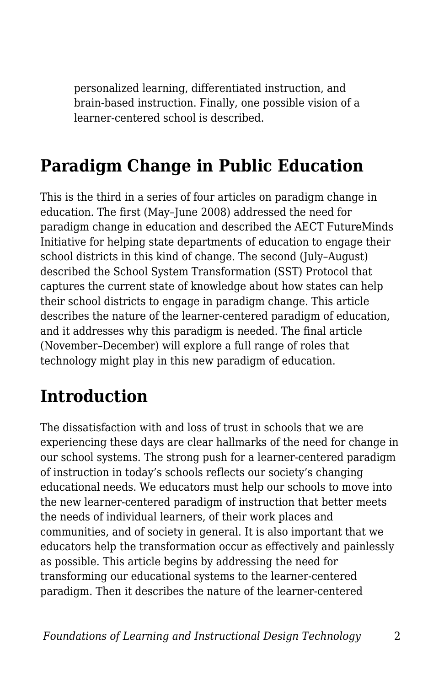personalized learning, differentiated instruction, and brain-based instruction. Finally, one possible vision of a learner-centered school is described.

### **Paradigm Change in Public Education**

This is the third in a series of four articles on paradigm change in education. The first (May–June 2008) addressed the need for paradigm change in education and described the AECT FutureMinds Initiative for helping state departments of education to engage their school districts in this kind of change. The second (July–August) described the School System Transformation (SST) Protocol that captures the current state of knowledge about how states can help their school districts to engage in paradigm change. This article describes the nature of the learner-centered paradigm of education, and it addresses why this paradigm is needed. The final article (November–December) will explore a full range of roles that technology might play in this new paradigm of education.

### **Introduction**

The dissatisfaction with and loss of trust in schools that we are experiencing these days are clear hallmarks of the need for change in our school systems. The strong push for a learner-centered paradigm of instruction in today's schools reflects our society's changing educational needs. We educators must help our schools to move into the new learner-centered paradigm of instruction that better meets the needs of individual learners, of their work places and communities, and of society in general. It is also important that we educators help the transformation occur as effectively and painlessly as possible. This article begins by addressing the need for transforming our educational systems to the learner-centered paradigm. Then it describes the nature of the learner-centered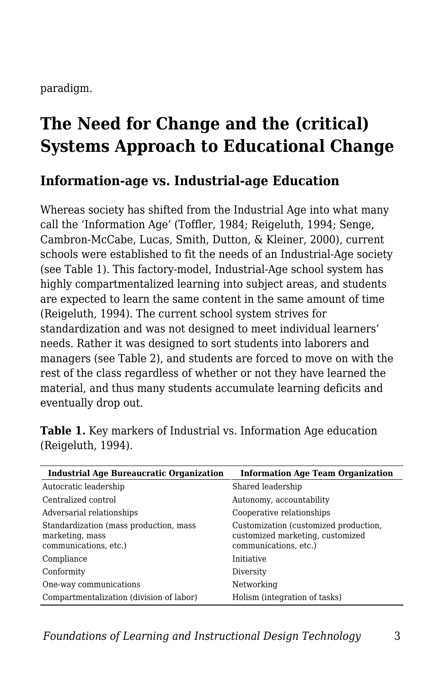paradigm.

## **The Need for Change and the (critical) Systems Approach to Educational Change**

#### **Information-age vs. Industrial-age Education**

Whereas society has shifted from the Industrial Age into what many call the 'Information Age' (Toffler, 1984; Reigeluth, 1994; Senge, Cambron-McCabe, Lucas, Smith, Dutton, & Kleiner, 2000), current schools were established to fit the needs of an Industrial-Age society (see Table 1). This factory-model, Industrial-Age school system has highly compartmentalized learning into subject areas, and students are expected to learn the same content in the same amount of time (Reigeluth, 1994). The current school system strives for standardization and was not designed to meet individual learners' needs. Rather it was designed to sort students into laborers and managers (see Table 2), and students are forced to move on with the rest of the class regardless of whether or not they have learned the material, and thus many students accumulate learning deficits and eventually drop out.

| <b>Industrial Age Bureaucratic Organization</b>                                    | <b>Information Age Team Organization</b>                                                           |
|------------------------------------------------------------------------------------|----------------------------------------------------------------------------------------------------|
| Autocratic leadership                                                              | Shared leadership                                                                                  |
| Centralized control                                                                | Autonomy, accountability                                                                           |
| Adversarial relationships                                                          | Cooperative relationships                                                                          |
| Standardization (mass production, mass<br>marketing, mass<br>communications, etc.) | Customization (customized production,<br>customized marketing, customized<br>communications, etc.) |
| Compliance                                                                         | Initiative                                                                                         |
| Conformity                                                                         | Diversity                                                                                          |
| One-way communications                                                             | Networking                                                                                         |
| Compartmentalization (division of labor)                                           | Holism (integration of tasks)                                                                      |

**Table 1.** Key markers of Industrial vs. Information Age education (Reigeluth, 1994).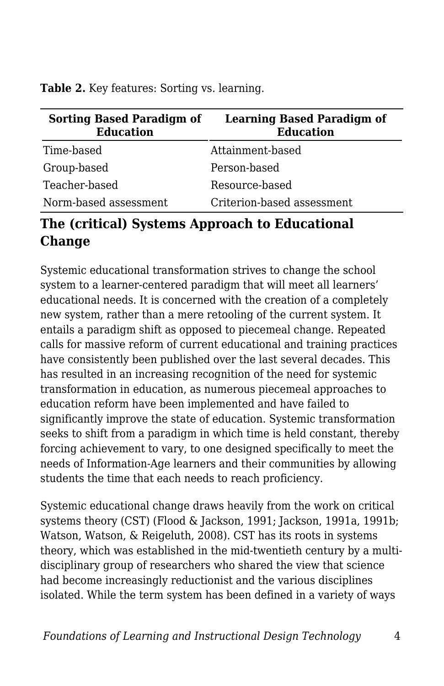Table 2. Key features: Sorting vs. learning.

| <b>Sorting Based Paradigm of</b><br><b>Education</b> | <b>Learning Based Paradigm of</b><br><b>Education</b> |
|------------------------------------------------------|-------------------------------------------------------|
| Time-based                                           | Attainment-based                                      |
| Group-based                                          | Person-based                                          |
| Teacher-based                                        | Resource-based                                        |
| Norm-based assessment                                | Criterion-based assessment                            |

#### **The (critical) Systems Approach to Educational Change**

Systemic educational transformation strives to change the school system to a learner-centered paradigm that will meet all learners' educational needs. It is concerned with the creation of a completely new system, rather than a mere retooling of the current system. It entails a paradigm shift as opposed to piecemeal change. Repeated calls for massive reform of current educational and training practices have consistently been published over the last several decades. This has resulted in an increasing recognition of the need for systemic transformation in education, as numerous piecemeal approaches to education reform have been implemented and have failed to significantly improve the state of education. Systemic transformation seeks to shift from a paradigm in which time is held constant, thereby forcing achievement to vary, to one designed specifically to meet the needs of Information-Age learners and their communities by allowing students the time that each needs to reach proficiency.

Systemic educational change draws heavily from the work on critical systems theory (CST) (Flood & Jackson, 1991; Jackson, 1991a, 1991b; Watson, Watson, & Reigeluth, 2008). CST has its roots in systems theory, which was established in the mid-twentieth century by a multidisciplinary group of researchers who shared the view that science had become increasingly reductionist and the various disciplines isolated. While the term system has been defined in a variety of ways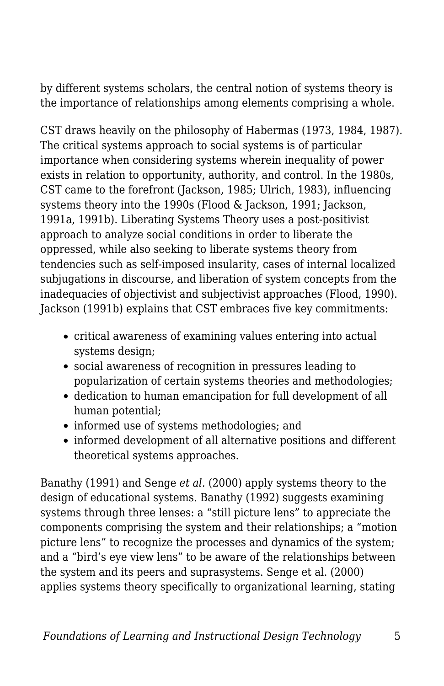by different systems scholars, the central notion of systems theory is the importance of relationships among elements comprising a whole.

CST draws heavily on the philosophy of Habermas (1973, 1984, 1987). The critical systems approach to social systems is of particular importance when considering systems wherein inequality of power exists in relation to opportunity, authority, and control. In the 1980s, CST came to the forefront (Jackson, 1985; Ulrich, 1983), influencing systems theory into the 1990s (Flood & Jackson, 1991; Jackson, 1991a, 1991b). Liberating Systems Theory uses a post-positivist approach to analyze social conditions in order to liberate the oppressed, while also seeking to liberate systems theory from tendencies such as self-imposed insularity, cases of internal localized subjugations in discourse, and liberation of system concepts from the inadequacies of objectivist and subjectivist approaches (Flood, 1990). Jackson (1991b) explains that CST embraces five key commitments:

- critical awareness of examining values entering into actual systems design;
- social awareness of recognition in pressures leading to popularization of certain systems theories and methodologies;
- dedication to human emancipation for full development of all human potential;
- informed use of systems methodologies; and
- informed development of all alternative positions and different theoretical systems approaches.

Banathy (1991) and Senge *et al.* (2000) apply systems theory to the design of educational systems. Banathy (1992) suggests examining systems through three lenses: a "still picture lens" to appreciate the components comprising the system and their relationships; a "motion picture lens" to recognize the processes and dynamics of the system; and a "bird's eye view lens" to be aware of the relationships between the system and its peers and suprasystems. Senge et al. (2000) applies systems theory specifically to organizational learning, stating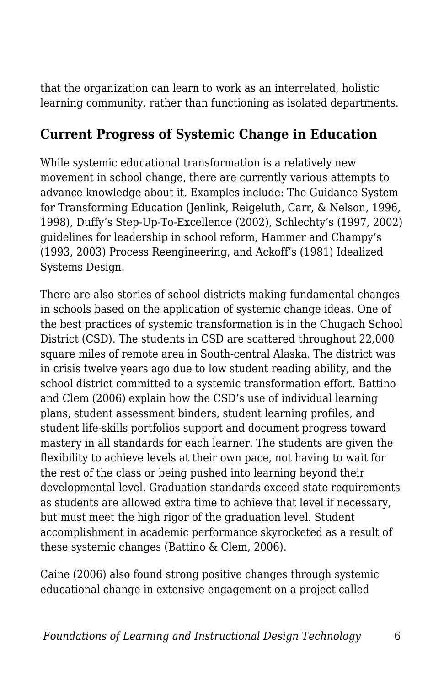that the organization can learn to work as an interrelated, holistic learning community, rather than functioning as isolated departments.

#### **Current Progress of Systemic Change in Education**

While systemic educational transformation is a relatively new movement in school change, there are currently various attempts to advance knowledge about it. Examples include: The Guidance System for Transforming Education (Jenlink, Reigeluth, Carr, & Nelson, 1996, 1998), Duffy's Step-Up-To-Excellence (2002), Schlechty's (1997, 2002) guidelines for leadership in school reform, Hammer and Champy's (1993, 2003) Process Reengineering, and Ackoff's (1981) Idealized Systems Design.

There are also stories of school districts making fundamental changes in schools based on the application of systemic change ideas. One of the best practices of systemic transformation is in the Chugach School District (CSD). The students in CSD are scattered throughout 22,000 square miles of remote area in South-central Alaska. The district was in crisis twelve years ago due to low student reading ability, and the school district committed to a systemic transformation effort. Battino and Clem (2006) explain how the CSD's use of individual learning plans, student assessment binders, student learning profiles, and student life-skills portfolios support and document progress toward mastery in all standards for each learner. The students are given the flexibility to achieve levels at their own pace, not having to wait for the rest of the class or being pushed into learning beyond their developmental level. Graduation standards exceed state requirements as students are allowed extra time to achieve that level if necessary, but must meet the high rigor of the graduation level. Student accomplishment in academic performance skyrocketed as a result of these systemic changes (Battino & Clem, 2006).

Caine (2006) also found strong positive changes through systemic educational change in extensive engagement on a project called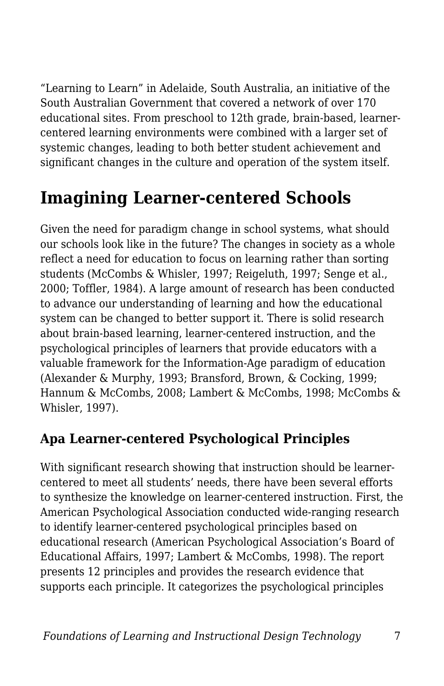"Learning to Learn" in Adelaide, South Australia, an initiative of the South Australian Government that covered a network of over 170 educational sites. From preschool to 12th grade, brain-based, learnercentered learning environments were combined with a larger set of systemic changes, leading to both better student achievement and significant changes in the culture and operation of the system itself.

### **Imagining Learner-centered Schools**

Given the need for paradigm change in school systems, what should our schools look like in the future? The changes in society as a whole reflect a need for education to focus on learning rather than sorting students (McCombs & Whisler, 1997; Reigeluth, 1997; Senge et al., 2000; Toffler, 1984). A large amount of research has been conducted to advance our understanding of learning and how the educational system can be changed to better support it. There is solid research about brain-based learning, learner-centered instruction, and the psychological principles of learners that provide educators with a valuable framework for the Information-Age paradigm of education (Alexander & Murphy, 1993; Bransford, Brown, & Cocking, 1999; Hannum & McCombs, 2008; Lambert & McCombs, 1998; McCombs & Whisler, 1997).

#### **Apa Learner-centered Psychological Principles**

With significant research showing that instruction should be learnercentered to meet all students' needs, there have been several efforts to synthesize the knowledge on learner-centered instruction. First, the American Psychological Association conducted wide-ranging research to identify learner-centered psychological principles based on educational research (American Psychological Association's Board of Educational Affairs, 1997; Lambert & McCombs, 1998). The report presents 12 principles and provides the research evidence that supports each principle. It categorizes the psychological principles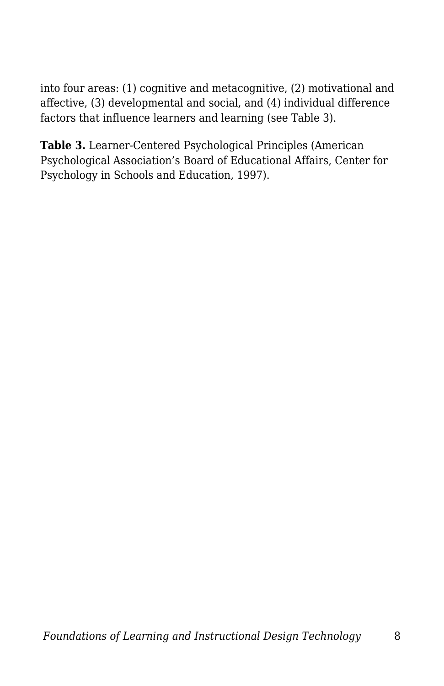into four areas: (1) cognitive and metacognitive, (2) motivational and affective, (3) developmental and social, and (4) individual difference factors that influence learners and learning (see Table 3).

**Table 3.** Learner-Centered Psychological Principles (American Psychological Association's Board of Educational Affairs, Center for Psychology in Schools and Education, 1997).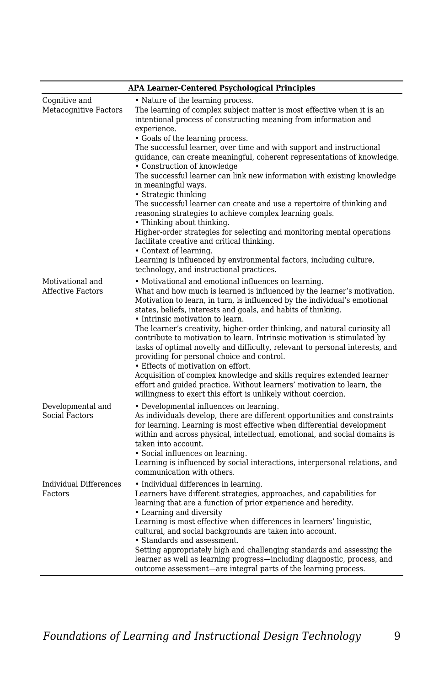| <b>APA Learner-Centered Psychological Principles</b> |                                                                                                                                                                                                                                                                                                                                                                                                                                                                                                                                                                                                                                                                                                                                                                                                                                                                                                                                                                                        |  |
|------------------------------------------------------|----------------------------------------------------------------------------------------------------------------------------------------------------------------------------------------------------------------------------------------------------------------------------------------------------------------------------------------------------------------------------------------------------------------------------------------------------------------------------------------------------------------------------------------------------------------------------------------------------------------------------------------------------------------------------------------------------------------------------------------------------------------------------------------------------------------------------------------------------------------------------------------------------------------------------------------------------------------------------------------|--|
| Cognitive and<br>Metacognitive Factors               | • Nature of the learning process.<br>The learning of complex subject matter is most effective when it is an<br>intentional process of constructing meaning from information and<br>experience.<br>• Goals of the learning process.<br>The successful learner, over time and with support and instructional<br>guidance, can create meaningful, coherent representations of knowledge.<br>• Construction of knowledge<br>The successful learner can link new information with existing knowledge<br>in meaningful ways.<br>• Strategic thinking<br>The successful learner can create and use a repertoire of thinking and<br>reasoning strategies to achieve complex learning goals.<br>• Thinking about thinking.<br>Higher-order strategies for selecting and monitoring mental operations<br>facilitate creative and critical thinking.<br>• Context of learning.<br>Learning is influenced by environmental factors, including culture,<br>technology, and instructional practices. |  |
| Motivational and<br><b>Affective Factors</b>         | • Motivational and emotional influences on learning.<br>What and how much is learned is influenced by the learner's motivation.<br>Motivation to learn, in turn, is influenced by the individual's emotional<br>states, beliefs, interests and goals, and habits of thinking.<br>• Intrinsic motivation to learn.<br>The learner's creativity, higher-order thinking, and natural curiosity all<br>contribute to motivation to learn. Intrinsic motivation is stimulated by<br>tasks of optimal novelty and difficulty, relevant to personal interests, and<br>providing for personal choice and control.<br>• Effects of motivation on effort.<br>Acquisition of complex knowledge and skills requires extended learner<br>effort and guided practice. Without learners' motivation to learn, the<br>willingness to exert this effort is unlikely without coercion.                                                                                                                   |  |
| Developmental and<br>Social Factors                  | • Developmental influences on learning.<br>As individuals develop, there are different opportunities and constraints<br>for learning. Learning is most effective when differential development<br>within and across physical, intellectual, emotional, and social domains is<br>taken into account.<br>• Social influences on learning.<br>Learning is influenced by social interactions, interpersonal relations, and<br>communication with others.                                                                                                                                                                                                                                                                                                                                                                                                                                                                                                                                   |  |
| Individual Differences<br>Factors                    | • Individual differences in learning.<br>Learners have different strategies, approaches, and capabilities for<br>learning that are a function of prior experience and heredity.<br>• Learning and diversity<br>Learning is most effective when differences in learners' linguistic.<br>cultural, and social backgrounds are taken into account.<br>• Standards and assessment.<br>Setting appropriately high and challenging standards and assessing the<br>learner as well as learning progress—including diagnostic, process, and<br>outcome assessment—are integral parts of the learning process.                                                                                                                                                                                                                                                                                                                                                                                  |  |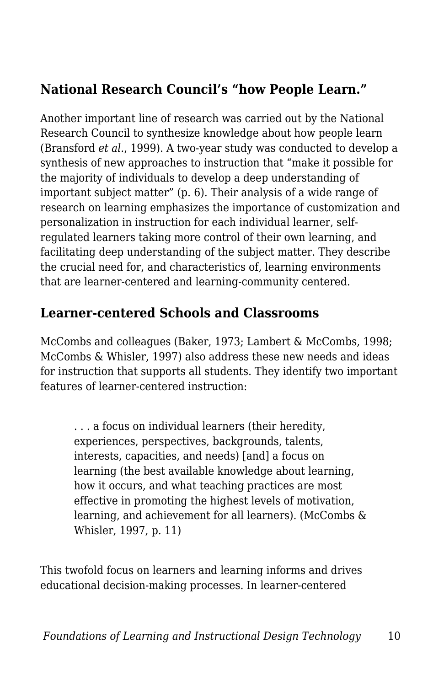#### **National Research Council's "how People Learn."**

Another important line of research was carried out by the National Research Council to synthesize knowledge about how people learn (Bransford *et al.*, 1999). A two-year study was conducted to develop a synthesis of new approaches to instruction that "make it possible for the majority of individuals to develop a deep understanding of important subject matter" (p. 6). Their analysis of a wide range of research on learning emphasizes the importance of customization and personalization in instruction for each individual learner, selfregulated learners taking more control of their own learning, and facilitating deep understanding of the subject matter. They describe the crucial need for, and characteristics of, learning environments that are learner-centered and learning-community centered.

#### **Learner-centered Schools and Classrooms**

McCombs and colleagues (Baker, 1973; Lambert & McCombs, 1998; McCombs & Whisler, 1997) also address these new needs and ideas for instruction that supports all students. They identify two important features of learner-centered instruction:

. . . a focus on individual learners (their heredity, experiences, perspectives, backgrounds, talents, interests, capacities, and needs) [and] a focus on learning (the best available knowledge about learning, how it occurs, and what teaching practices are most effective in promoting the highest levels of motivation, learning, and achievement for all learners). (McCombs & Whisler, 1997, p. 11)

This twofold focus on learners and learning informs and drives educational decision-making processes. In learner-centered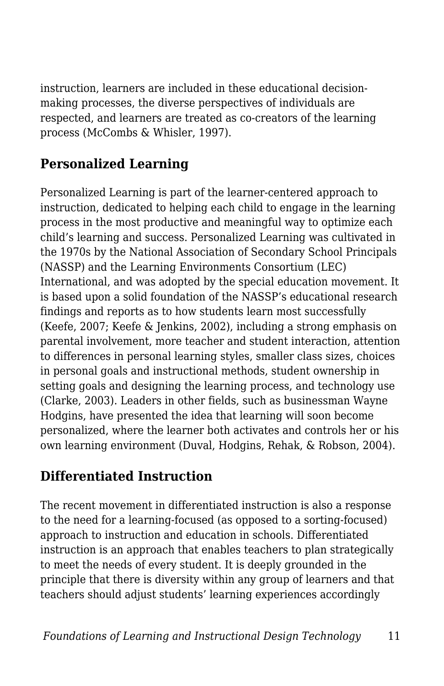instruction, learners are included in these educational decisionmaking processes, the diverse perspectives of individuals are respected, and learners are treated as co-creators of the learning process (McCombs & Whisler, 1997).

#### **Personalized Learning**

Personalized Learning is part of the learner-centered approach to instruction, dedicated to helping each child to engage in the learning process in the most productive and meaningful way to optimize each child's learning and success. Personalized Learning was cultivated in the 1970s by the National Association of Secondary School Principals (NASSP) and the Learning Environments Consortium (LEC) International, and was adopted by the special education movement. It is based upon a solid foundation of the NASSP's educational research findings and reports as to how students learn most successfully (Keefe, 2007; Keefe & Jenkins, 2002), including a strong emphasis on parental involvement, more teacher and student interaction, attention to differences in personal learning styles, smaller class sizes, choices in personal goals and instructional methods, student ownership in setting goals and designing the learning process, and technology use (Clarke, 2003). Leaders in other fields, such as businessman Wayne Hodgins, have presented the idea that learning will soon become personalized, where the learner both activates and controls her or his own learning environment (Duval, Hodgins, Rehak, & Robson, 2004).

#### **Differentiated Instruction**

The recent movement in differentiated instruction is also a response to the need for a learning-focused (as opposed to a sorting-focused) approach to instruction and education in schools. Differentiated instruction is an approach that enables teachers to plan strategically to meet the needs of every student. It is deeply grounded in the principle that there is diversity within any group of learners and that teachers should adjust students' learning experiences accordingly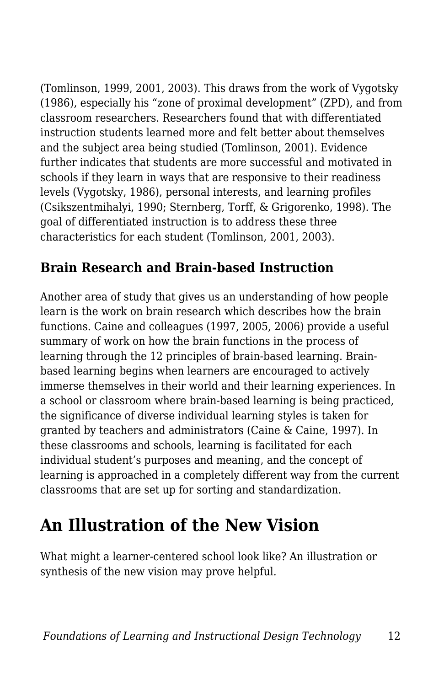(Tomlinson, 1999, 2001, 2003). This draws from the work of Vygotsky (1986), especially his "zone of proximal development" (ZPD), and from classroom researchers. Researchers found that with differentiated instruction students learned more and felt better about themselves and the subject area being studied (Tomlinson, 2001). Evidence further indicates that students are more successful and motivated in schools if they learn in ways that are responsive to their readiness levels (Vygotsky, 1986), personal interests, and learning profiles (Csikszentmihalyi, 1990; Sternberg, Torff, & Grigorenko, 1998). The goal of differentiated instruction is to address these three characteristics for each student (Tomlinson, 2001, 2003).

#### **Brain Research and Brain-based Instruction**

Another area of study that gives us an understanding of how people learn is the work on brain research which describes how the brain functions. Caine and colleagues (1997, 2005, 2006) provide a useful summary of work on how the brain functions in the process of learning through the 12 principles of brain-based learning. Brainbased learning begins when learners are encouraged to actively immerse themselves in their world and their learning experiences. In a school or classroom where brain-based learning is being practiced, the significance of diverse individual learning styles is taken for granted by teachers and administrators (Caine & Caine, 1997). In these classrooms and schools, learning is facilitated for each individual student's purposes and meaning, and the concept of learning is approached in a completely different way from the current classrooms that are set up for sorting and standardization.

## **An Illustration of the New Vision**

What might a learner-centered school look like? An illustration or synthesis of the new vision may prove helpful.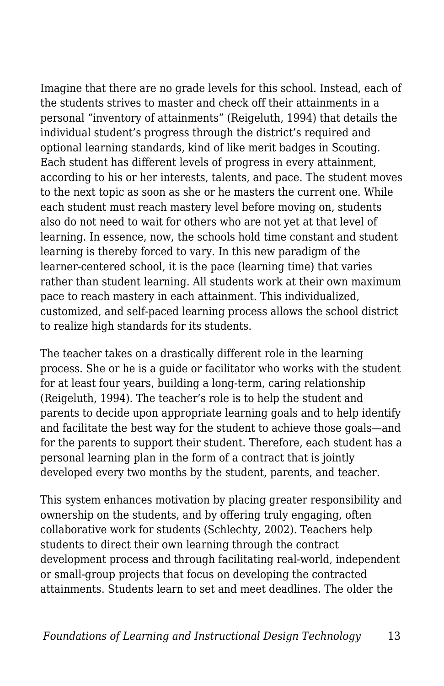Imagine that there are no grade levels for this school. Instead, each of the students strives to master and check off their attainments in a personal "inventory of attainments" (Reigeluth, 1994) that details the individual student's progress through the district's required and optional learning standards, kind of like merit badges in Scouting. Each student has different levels of progress in every attainment, according to his or her interests, talents, and pace. The student moves to the next topic as soon as she or he masters the current one. While each student must reach mastery level before moving on, students also do not need to wait for others who are not yet at that level of learning. In essence, now, the schools hold time constant and student learning is thereby forced to vary. In this new paradigm of the learner-centered school, it is the pace (learning time) that varies rather than student learning. All students work at their own maximum pace to reach mastery in each attainment. This individualized, customized, and self-paced learning process allows the school district to realize high standards for its students.

The teacher takes on a drastically different role in the learning process. She or he is a guide or facilitator who works with the student for at least four years, building a long-term, caring relationship (Reigeluth, 1994). The teacher's role is to help the student and parents to decide upon appropriate learning goals and to help identify and facilitate the best way for the student to achieve those goals—and for the parents to support their student. Therefore, each student has a personal learning plan in the form of a contract that is jointly developed every two months by the student, parents, and teacher.

This system enhances motivation by placing greater responsibility and ownership on the students, and by offering truly engaging, often collaborative work for students (Schlechty, 2002). Teachers help students to direct their own learning through the contract development process and through facilitating real-world, independent or small-group projects that focus on developing the contracted attainments. Students learn to set and meet deadlines. The older the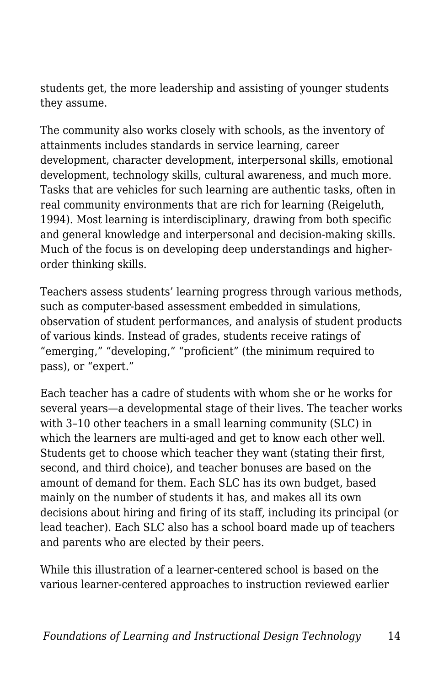students get, the more leadership and assisting of younger students they assume.

The community also works closely with schools, as the inventory of attainments includes standards in service learning, career development, character development, interpersonal skills, emotional development, technology skills, cultural awareness, and much more. Tasks that are vehicles for such learning are authentic tasks, often in real community environments that are rich for learning (Reigeluth, 1994). Most learning is interdisciplinary, drawing from both specific and general knowledge and interpersonal and decision-making skills. Much of the focus is on developing deep understandings and higherorder thinking skills.

Teachers assess students' learning progress through various methods, such as computer-based assessment embedded in simulations, observation of student performances, and analysis of student products of various kinds. Instead of grades, students receive ratings of "emerging," "developing," "proficient" (the minimum required to pass), or "expert."

Each teacher has a cadre of students with whom she or he works for several years—a developmental stage of their lives. The teacher works with 3–10 other teachers in a small learning community (SLC) in which the learners are multi-aged and get to know each other well. Students get to choose which teacher they want (stating their first, second, and third choice), and teacher bonuses are based on the amount of demand for them. Each SLC has its own budget, based mainly on the number of students it has, and makes all its own decisions about hiring and firing of its staff, including its principal (or lead teacher). Each SLC also has a school board made up of teachers and parents who are elected by their peers.

While this illustration of a learner-centered school is based on the various learner-centered approaches to instruction reviewed earlier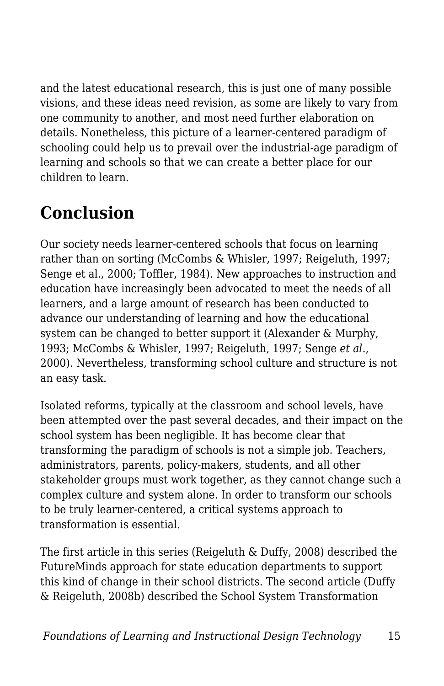and the latest educational research, this is just one of many possible visions, and these ideas need revision, as some are likely to vary from one community to another, and most need further elaboration on details. Nonetheless, this picture of a learner-centered paradigm of schooling could help us to prevail over the industrial-age paradigm of learning and schools so that we can create a better place for our children to learn.

# **Conclusion**

Our society needs learner-centered schools that focus on learning rather than on sorting (McCombs & Whisler, 1997; Reigeluth, 1997; Senge et al., 2000; Toffler, 1984). New approaches to instruction and education have increasingly been advocated to meet the needs of all learners, and a large amount of research has been conducted to advance our understanding of learning and how the educational system can be changed to better support it (Alexander & Murphy, 1993; McCombs & Whisler, 1997; Reigeluth, 1997; Senge *et al.*, 2000). Nevertheless, transforming school culture and structure is not an easy task.

Isolated reforms, typically at the classroom and school levels, have been attempted over the past several decades, and their impact on the school system has been negligible. It has become clear that transforming the paradigm of schools is not a simple job. Teachers, administrators, parents, policy-makers, students, and all other stakeholder groups must work together, as they cannot change such a complex culture and system alone. In order to transform our schools to be truly learner-centered, a critical systems approach to transformation is essential.

The first article in this series (Reigeluth & Duffy, 2008) described the FutureMinds approach for state education departments to support this kind of change in their school districts. The second article (Duffy & Reigeluth, 2008b) described the School System Transformation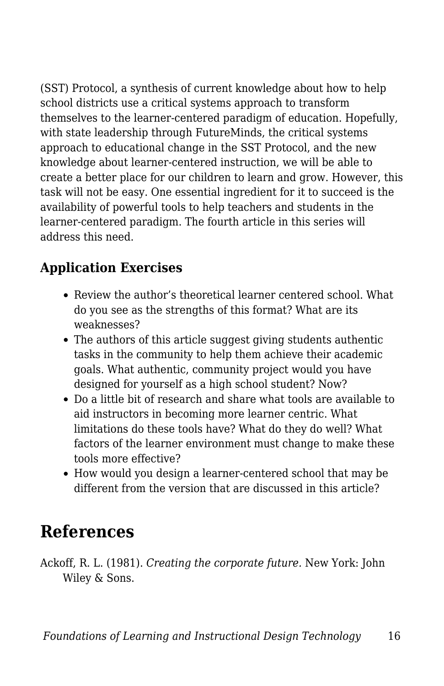(SST) Protocol, a synthesis of current knowledge about how to help school districts use a critical systems approach to transform themselves to the learner-centered paradigm of education. Hopefully, with state leadership through FutureMinds, the critical systems approach to educational change in the SST Protocol, and the new knowledge about learner-centered instruction, we will be able to create a better place for our children to learn and grow. However, this task will not be easy. One essential ingredient for it to succeed is the availability of powerful tools to help teachers and students in the learner-centered paradigm. The fourth article in this series will address this need.

#### **Application Exercises**

- Review the author's theoretical learner centered school. What do you see as the strengths of this format? What are its weaknesses?
- The authors of this article suggest giving students authentic tasks in the community to help them achieve their academic goals. What authentic, community project would you have designed for yourself as a high school student? Now?
- Do a little bit of research and share what tools are available to aid instructors in becoming more learner centric. What limitations do these tools have? What do they do well? What factors of the learner environment must change to make these tools more effective?
- How would you design a learner-centered school that may be different from the version that are discussed in this article?

### **References**

Ackoff, R. L. (1981). *Creating the corporate future.* New York: John Wiley & Sons.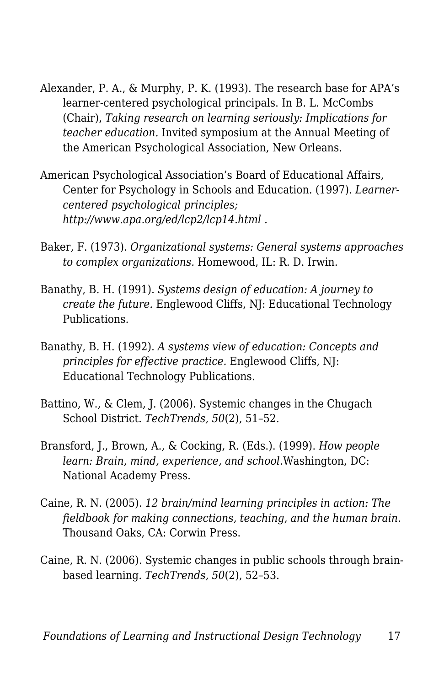- Alexander, P. A., & Murphy, P. K. (1993). The research base for APA's learner-centered psychological principals. In B. L. McCombs (Chair), *Taking research on learning seriously: Implications for teacher education.* Invited symposium at the Annual Meeting of the American Psychological Association, New Orleans.
- American Psychological Association's Board of Educational Affairs, Center for Psychology in Schools and Education. (1997). *Learnercentered psychological principles; http://www.apa.org/ed/lcp2/lcp14.html .*
- Baker, F. (1973). *Organizational systems: General systems approaches to complex organizations.* Homewood, IL: R. D. Irwin.
- Banathy, B. H. (1991). *Systems design of education: A journey to create the future.* Englewood Cliffs, NJ: Educational Technology Publications.
- Banathy, B. H. (1992). *A systems view of education: Concepts and principles for effective practice.* Englewood Cliffs, NJ: Educational Technology Publications.
- Battino, W., & Clem, J. (2006). Systemic changes in the Chugach School District. *TechTrends, 50*(2), 51–52.
- Bransford, J., Brown, A., & Cocking, R. (Eds.). (1999). *How people learn: Brain, mind, experience, and school.*Washington, DC: National Academy Press.
- Caine, R. N. (2005). *12 brain/mind learning principles in action: The fieldbook for making connections, teaching, and the human brain.* Thousand Oaks, CA: Corwin Press.
- Caine, R. N. (2006). Systemic changes in public schools through brainbased learning. *TechTrends, 50*(2), 52–53.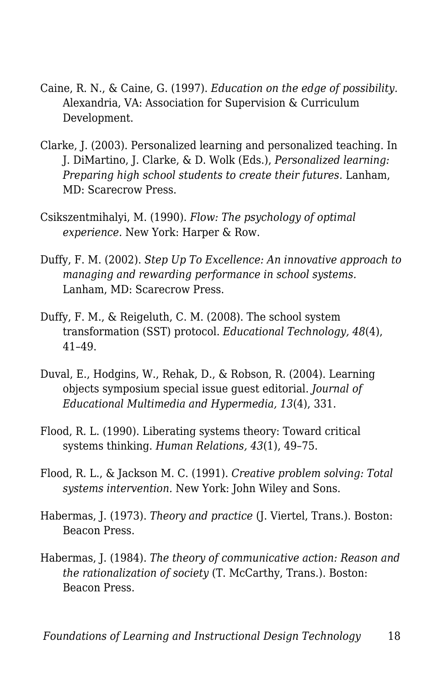- Caine, R. N., & Caine, G. (1997). *Education on the edge of possibility.* Alexandria, VA: Association for Supervision & Curriculum Development.
- Clarke, J. (2003). Personalized learning and personalized teaching. In J. DiMartino, J. Clarke, & D. Wolk (Eds.), *Personalized learning: Preparing high school students to create their futures.* Lanham, MD: Scarecrow Press.
- Csikszentmihalyi, M. (1990). *Flow: The psychology of optimal experience.* New York: Harper & Row.
- Duffy, F. M. (2002). *Step Up To Excellence: An innovative approach to managing and rewarding performance in school systems.* Lanham, MD: Scarecrow Press.
- Duffy, F. M., & Reigeluth, C. M. (2008). The school system transformation (SST) protocol. *Educational Technology, 48*(4), 41–49.
- Duval, E., Hodgins, W., Rehak, D., & Robson, R. (2004). Learning objects symposium special issue guest editorial. *Journal of Educational Multimedia and Hypermedia, 13*(4), 331.
- Flood, R. L. (1990). Liberating systems theory: Toward critical systems thinking. *Human Relations, 43*(1), 49–75.
- Flood, R. L., & Jackson M. C. (1991). *Creative problem solving: Total systems intervention.* New York: John Wiley and Sons.
- Habermas, J. (1973). *Theory and practice* (J. Viertel, Trans.). Boston: Beacon Press.
- Habermas, J. (1984). *The theory of communicative action: Reason and the rationalization of society* (T. McCarthy, Trans.). Boston: Beacon Press.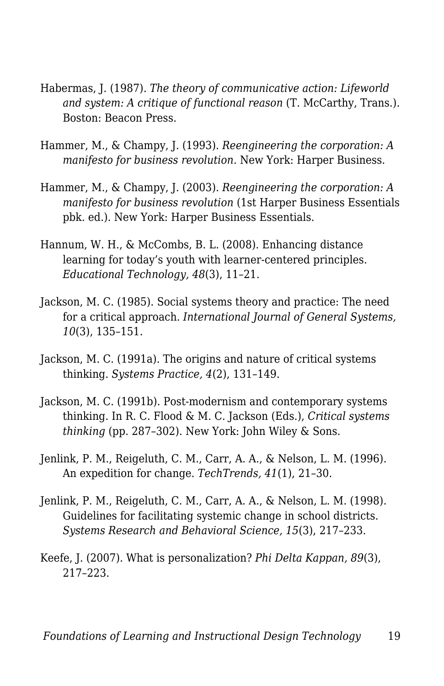- Habermas, J. (1987). *The theory of communicative action: Lifeworld and system: A critique of functional reason* (T. McCarthy, Trans.). Boston: Beacon Press.
- Hammer, M., & Champy, J. (1993). *Reengineering the corporation: A manifesto for business revolution.* New York: Harper Business.
- Hammer, M., & Champy, J. (2003). *Reengineering the corporation: A manifesto for business revolution* (1st Harper Business Essentials pbk. ed.). New York: Harper Business Essentials.
- Hannum, W. H., & McCombs, B. L. (2008). Enhancing distance learning for today's youth with learner-centered principles. *Educational Technology, 48*(3), 11–21.
- Jackson, M. C. (1985). Social systems theory and practice: The need for a critical approach. *International Journal of General Systems, 10*(3), 135–151.
- Jackson, M. C. (1991a). The origins and nature of critical systems thinking. *Systems Practice, 4*(2), 131–149.
- Jackson, M. C. (1991b). Post-modernism and contemporary systems thinking. In R. C. Flood & M. C. Jackson (Eds.), *Critical systems thinking* (pp. 287–302). New York: John Wiley & Sons.
- Jenlink, P. M., Reigeluth, C. M., Carr, A. A., & Nelson, L. M. (1996). An expedition for change. *TechTrends, 41*(1), 21–30.
- Jenlink, P. M., Reigeluth, C. M., Carr, A. A., & Nelson, L. M. (1998). Guidelines for facilitating systemic change in school districts. *Systems Research and Behavioral Science, 15*(3), 217–233.
- Keefe, J. (2007). What is personalization? *Phi Delta Kappan, 89*(3), 217–223.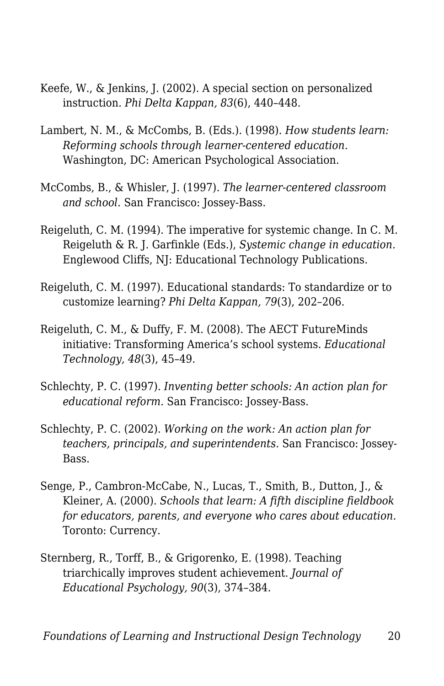- Keefe, W., & Jenkins, J. (2002). A special section on personalized instruction. *Phi Delta Kappan, 83*(6), 440–448.
- Lambert, N. M., & McCombs, B. (Eds.). (1998). *How students learn: Reforming schools through learner-centered education.* Washington, DC: American Psychological Association.
- McCombs, B., & Whisler, J. (1997). *The learner-centered classroom and school.* San Francisco: Jossey-Bass.
- Reigeluth, C. M. (1994). The imperative for systemic change. In C. M. Reigeluth & R. J. Garfinkle (Eds.), *Systemic change in education.* Englewood Cliffs, NJ: Educational Technology Publications.
- Reigeluth, C. M. (1997). Educational standards: To standardize or to customize learning? *Phi Delta Kappan, 79*(3), 202–206.
- Reigeluth, C. M., & Duffy, F. M. (2008). The AECT FutureMinds initiative: Transforming America's school systems. *Educational Technology, 48*(3), 45–49.
- Schlechty, P. C. (1997). *Inventing better schools: An action plan for educational reform.* San Francisco: Jossey-Bass.
- Schlechty, P. C. (2002). *Working on the work: An action plan for teachers, principals, and superintendents.* San Francisco: Jossey-Bass.
- Senge, P., Cambron-McCabe, N., Lucas, T., Smith, B., Dutton, J., & Kleiner, A. (2000). *Schools that learn: A fifth discipline fieldbook for educators, parents, and everyone who cares about education.* Toronto: Currency.
- Sternberg, R., Torff, B., & Grigorenko, E. (1998). Teaching triarchically improves student achievement. *Journal of Educational Psychology, 90*(3), 374–384.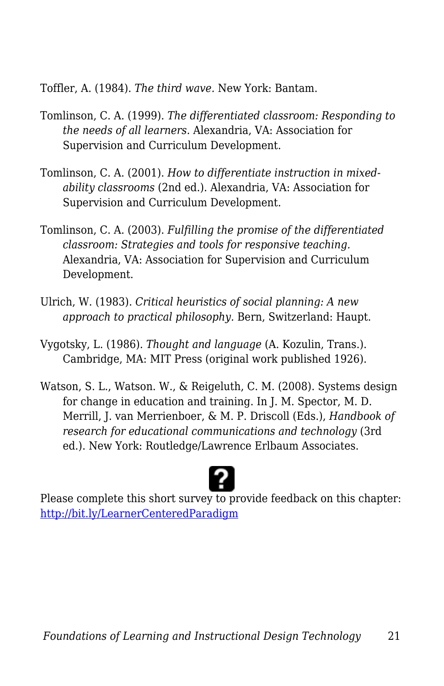Toffler, A. (1984). *The third wave.* New York: Bantam.

- Tomlinson, C. A. (1999). *The differentiated classroom: Responding to the needs of all learners.* Alexandria, VA: Association for Supervision and Curriculum Development.
- Tomlinson, C. A. (2001). *How to differentiate instruction in mixedability classrooms* (2nd ed.). Alexandria, VA: Association for Supervision and Curriculum Development.
- Tomlinson, C. A. (2003). *Fulfilling the promise of the differentiated classroom: Strategies and tools for responsive teaching.* Alexandria, VA: Association for Supervision and Curriculum Development.
- Ulrich, W. (1983). *Critical heuristics of social planning: A new approach to practical philosophy.* Bern, Switzerland: Haupt.
- Vygotsky, L. (1986). *Thought and language* (A. Kozulin, Trans.). Cambridge, MA: MIT Press (original work published 1926).
- Watson, S. L., Watson. W., & Reigeluth, C. M. (2008). Systems design for change in education and training. In J. M. Spector, M. D. Merrill, J. van Merrienboer, & M. P. Driscoll (Eds.), *Handbook of research for educational communications and technology* (3rd ed.). New York: Routledge/Lawrence Erlbaum Associates.



Please complete this short survey to provide feedback on this chapter: <http://bit.ly/LearnerCenteredParadigm>